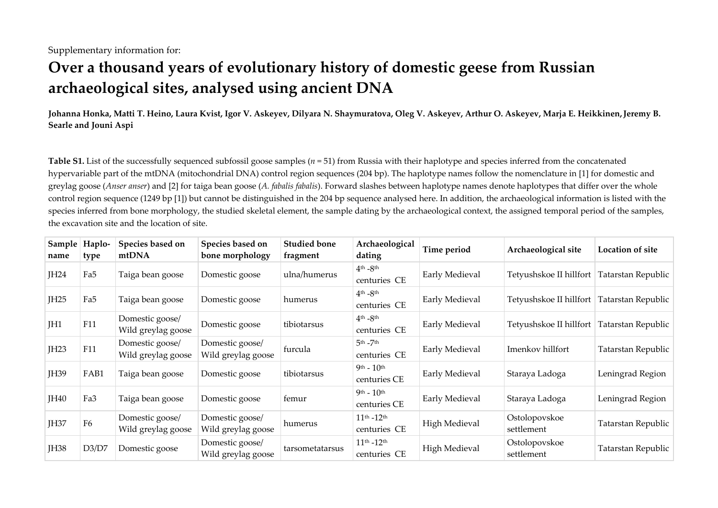# **Over a thousand years of evolutionary history of domestic geese from Russian archaeological sites, analysed using ancient DNA**

**Johanna Honka, Matti T. Heino, Laura Kvist, Igor V. Askeyev, Dilyara N. Shaymuratova, Oleg V. Askeyev, Arthur O. Askeyev, Marja E. Heikkinen,Jeremy B. Searle and Jouni Aspi** 

**Table S1.** List of the successfully sequenced subfossil goose samples (*n* = 51) from Russia with their haplotype and species inferred from the concatenated hypervariable part of the mtDNA (mitochondrial DNA) control region sequences (204 bp). The haplotype names follow the nomenclature in [1] for domestic and greylag goose (*Anser anser*) and [2] for taiga bean goose (*A. fabalis fabalis*). Forward slashes between haplotype names denote haplotypes that differ over the whole control region sequence (1249 bp [1]) but cannot be distinguished in the 204 bp sequence analysed here. In addition, the archaeological information is listed with the species inferred from bone morphology, the studied skeletal element, the sample dating by the archaeological context, the assigned temporal period of the samples, the excavation site and the location of site.

| Sample<br>name | Haplo-<br>type | Species based on<br>mtDNA             | Species based on<br>bone morphology   | <b>Studied bone</b><br>fragment | Archaeological<br>dating            | Time period    | Archaeological site                          | Location of site   |  |  |
|----------------|----------------|---------------------------------------|---------------------------------------|---------------------------------|-------------------------------------|----------------|----------------------------------------------|--------------------|--|--|
| JH24           | Fa5            | Taiga bean goose                      | Domestic goose                        | ulna/humerus                    | $4th - 8th$<br>centuries CE         | Early Medieval | Tetyushskoe II hillfort   Tatarstan Republic |                    |  |  |
| JH25           | Fa5            | Taiga bean goose                      | Domestic goose                        | humerus                         | $4th - 8th$<br>centuries CE         | Early Medieval | Tetyushskoe II hillfort Tatarstan Republic   |                    |  |  |
| JH1            | F11            | Domestic goose/<br>Wild greylag goose | Domestic goose                        | tibiotarsus                     | $4th - 8th$<br>centuries CE         | Early Medieval | Tetyushskoe II hillfort   Tatarstan Republic |                    |  |  |
| JH23           | F11            | Domestic goose/<br>Wild greylag goose | Domestic goose/<br>Wild greylag goose | furcula                         | $5th - 7th$<br>centuries CE         | Early Medieval | Imenkov hillfort                             | Tatarstan Republic |  |  |
| JH39           | FAB1           | Taiga bean goose                      | Domestic goose                        | tibiotarsus                     | $9th - 10th$<br>centuries CE        | Early Medieval | Staraya Ladoga                               | Leningrad Region   |  |  |
| JH40           | Fa3            | Taiga bean goose                      | Domestic goose                        | femur                           | $9th - 10th$<br>centuries CE        | Early Medieval | Staraya Ladoga                               | Leningrad Region   |  |  |
| JH37           | F <sub>6</sub> | Domestic goose/<br>Wild greylag goose | Domestic goose/<br>Wild greylag goose | humerus                         | $11^{th} - 12^{th}$<br>centuries CE | High Medieval  | Ostolopovskoe<br>settlement                  | Tatarstan Republic |  |  |
| <b>JH38</b>    | D3/D7          | Domestic goose                        | Domestic goose/<br>Wild greylag goose | tarsometatarsus                 | $11^{th} - 12^{th}$<br>centuries CE | High Medieval  | Ostolopovskoe<br>settlement                  | Tatarstan Republic |  |  |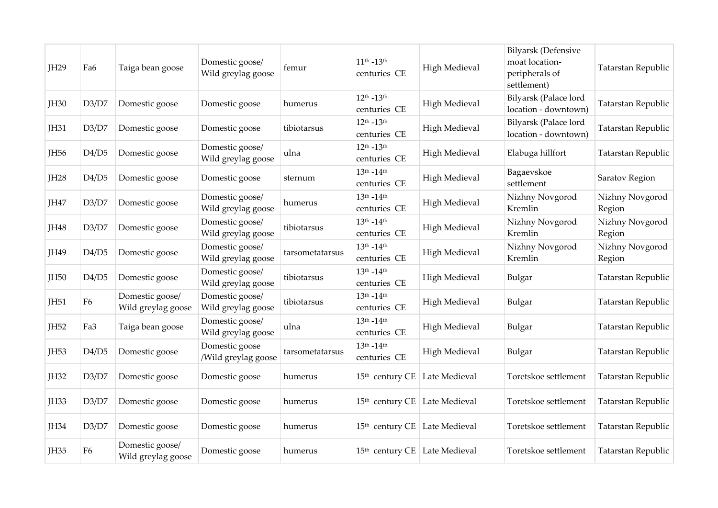| <b>IH29</b>      | Fa6            | Taiga bean goose                      | Domestic goose/<br>Wild greylag goose | femur           | $11^{th} - 13^{th}$<br>centuries CE               | <b>High Medieval</b> | Bilyarsk (Defensive<br>moat location-<br>peripherals of<br>settlement) | Tatarstan Republic        |
|------------------|----------------|---------------------------------------|---------------------------------------|-----------------|---------------------------------------------------|----------------------|------------------------------------------------------------------------|---------------------------|
| <b>IH30</b>      | D3/D7          | Domestic goose                        | Domestic goose                        | humerus         | $12^{th} - 13^{th}$<br>centuries CE               | <b>High Medieval</b> | Bilyarsk (Palace lord<br>location - downtown)                          | Tatarstan Republic        |
| <b>JH31</b>      | D3/D7          | Domestic goose                        | Domestic goose                        | tibiotarsus     | $12^{th} - 13^{th}$<br>centuries CE               | <b>High Medieval</b> | Bilyarsk (Palace lord<br>location - downtown)                          | Tatarstan Republic        |
| JH <sub>56</sub> | D4/D5          | Domestic goose                        | Domestic goose/<br>Wild greylag goose | ulna            | $12^{th} - 13^{th}$<br>centuries CE               | <b>High Medieval</b> | Elabuga hillfort                                                       | Tatarstan Republic        |
| <b>JH28</b>      | D4/D5          | Domestic goose                        | Domestic goose                        | sternum         | $13^{th} - 14^{th}$<br>centuries CE               | <b>High Medieval</b> | Bagaevskoe<br>settlement                                               | Saratov Region            |
| JH47             | D3/D7          | Domestic goose                        | Domestic goose/<br>Wild greylag goose | humerus         | $13^{\text{th}} - 14^{\text{th}}$<br>centuries CE | <b>High Medieval</b> | Nizhny Novgorod<br>Kremlin                                             | Nizhny Novgorod<br>Region |
| <b>IH48</b>      | D3/D7          | Domestic goose                        | Domestic goose/<br>Wild greylag goose | tibiotarsus     | $13^{th} - 14^{th}$<br>centuries CE               | <b>High Medieval</b> | Nizhny Novgorod<br>Kremlin                                             | Nizhny Novgorod<br>Region |
| JH49             | D4/D5          | Domestic goose                        | Domestic goose/<br>Wild greylag goose | tarsometatarsus | $13^{th} - 14^{th}$<br>centuries CE               | <b>High Medieval</b> | Nizhny Novgorod<br>Kremlin                                             | Nizhny Novgorod<br>Region |
| JH50             | D4/D5          | Domestic goose                        | Domestic goose/<br>Wild greylag goose | tibiotarsus     | $13^{th} - 14^{th}$<br>centuries CE               | <b>High Medieval</b> | Bulgar                                                                 | Tatarstan Republic        |
| <b>IH51</b>      | F <sub>6</sub> | Domestic goose/<br>Wild greylag goose | Domestic goose/<br>Wild greylag goose | tibiotarsus     | $13^{th} - 14^{th}$<br>centuries CE               | <b>High Medieval</b> | Bulgar                                                                 | Tatarstan Republic        |
| <b>IH52</b>      | Fa3            | Taiga bean goose                      | Domestic goose/<br>Wild greylag goose | ulna            | $13^{th} - 14^{th}$<br>centuries CE               | <b>High Medieval</b> | Bulgar                                                                 | Tatarstan Republic        |
| <b>IH53</b>      | D4/D5          | Domestic goose                        | Domestic goose<br>/Wild greylag goose | tarsometatarsus | $13^{th} - 14^{th}$<br>centuries CE               | <b>High Medieval</b> | Bulgar                                                                 | Tatarstan Republic        |
| <b>JH32</b>      | D3/D7          | Domestic goose                        | Domestic goose                        | humerus         | 15 <sup>th</sup> century CE Late Medieval         |                      | Toretskoe settlement                                                   | Tatarstan Republic        |
| <b>JH33</b>      | D3/D7          | Domestic goose                        | Domestic goose                        | humerus         | 15 <sup>th</sup> century CE   Late Medieval       |                      | Toretskoe settlement                                                   | Tatarstan Republic        |
| <b>IH34</b>      | D3/D7          | Domestic goose                        | Domestic goose                        | humerus         | 15 <sup>th</sup> century CE Late Medieval         |                      | Toretskoe settlement                                                   | Tatarstan Republic        |
| <b>IH35</b>      | F <sub>6</sub> | Domestic goose/<br>Wild greylag goose | Domestic goose                        | humerus         | 15 <sup>th</sup> century CE   Late Medieval       |                      | Toretskoe settlement                                                   | Tatarstan Republic        |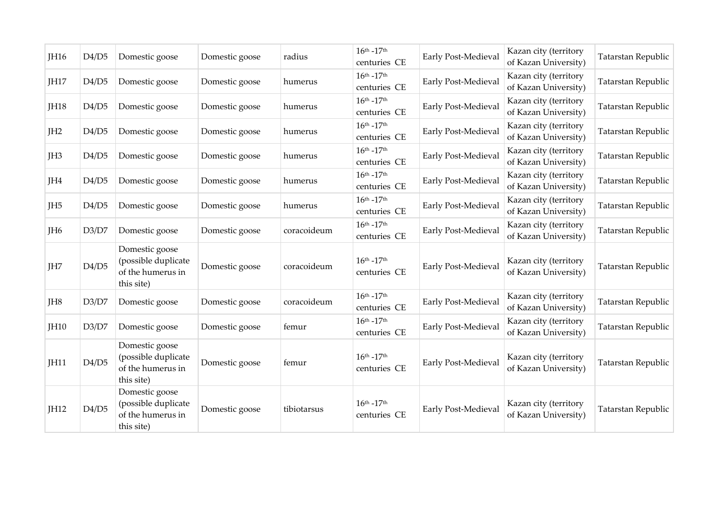| JH16            | D4/D5 | Domestic goose                                                           | Domestic goose | radius      | $16^{th} - 17^{th}$<br>centuries CE               | Early Post-Medieval | Kazan city (territory<br>of Kazan University) | Tatarstan Republic |
|-----------------|-------|--------------------------------------------------------------------------|----------------|-------------|---------------------------------------------------|---------------------|-----------------------------------------------|--------------------|
| JH17            | D4/D5 | Domestic goose                                                           | Domestic goose | humerus     | $16^{th}$ - $17^{th}$<br>centuries CE             | Early Post-Medieval | Kazan city (territory<br>of Kazan University) | Tatarstan Republic |
| <b>IH18</b>     | D4/D5 | Domestic goose                                                           | Domestic goose | humerus     | $16^{th} - 17^{th}$<br>centuries CE               | Early Post-Medieval | Kazan city (territory<br>of Kazan University) | Tatarstan Republic |
| JH <sub>2</sub> | D4/D5 | Domestic goose                                                           | Domestic goose | humerus     | $16^{th} - 17^{th}$<br>centuries CE               | Early Post-Medieval | Kazan city (territory<br>of Kazan University) | Tatarstan Republic |
| JH <sub>3</sub> | D4/D5 | Domestic goose                                                           | Domestic goose | humerus     | $16^{th} - 17^{th}$<br>centuries CE               | Early Post-Medieval | Kazan city (territory<br>of Kazan University) | Tatarstan Republic |
| JH4             | D4/D5 | Domestic goose                                                           | Domestic goose | humerus     | $16^{th} - 17^{th}$<br>centuries CE               | Early Post-Medieval | Kazan city (territory<br>of Kazan University) | Tatarstan Republic |
| JH <sub>5</sub> | D4/D5 | Domestic goose                                                           | Domestic goose | humerus     | $16^{\text{th}} - 17^{\text{th}}$<br>centuries CE | Early Post-Medieval | Kazan city (territory<br>of Kazan University) | Tatarstan Republic |
| JH <sub>6</sub> | D3/D7 | Domestic goose                                                           | Domestic goose | coracoideum | $16^{th} - 17^{th}$<br>centuries CE               | Early Post-Medieval | Kazan city (territory<br>of Kazan University) | Tatarstan Republic |
| JH7             | D4/D5 | Domestic goose<br>(possible duplicate<br>of the humerus in<br>this site) | Domestic goose | coracoideum | $16^{th} - 17^{th}$<br>centuries CE               | Early Post-Medieval | Kazan city (territory<br>of Kazan University) | Tatarstan Republic |
| JH8             | D3/D7 | Domestic goose                                                           | Domestic goose | coracoideum | $16^{th} - 17^{th}$<br>centuries CE               | Early Post-Medieval | Kazan city (territory<br>of Kazan University) | Tatarstan Republic |
| JH10            | D3/D7 | Domestic goose                                                           | Domestic goose | femur       | $16^{th} - 17^{th}$<br>centuries CE               | Early Post-Medieval | Kazan city (territory<br>of Kazan University) | Tatarstan Republic |
| JH11            | D4/D5 | Domestic goose<br>(possible duplicate<br>of the humerus in<br>this site) | Domestic goose | femur       | $16^{th} - 17^{th}$<br>centuries CE               | Early Post-Medieval | Kazan city (territory<br>of Kazan University) | Tatarstan Republic |
| <b>IH12</b>     | D4/D5 | Domestic goose<br>(possible duplicate<br>of the humerus in<br>this site) | Domestic goose | tibiotarsus | $16^{th} - 17^{th}$<br>centuries CE               | Early Post-Medieval | Kazan city (territory<br>of Kazan University) | Tatarstan Republic |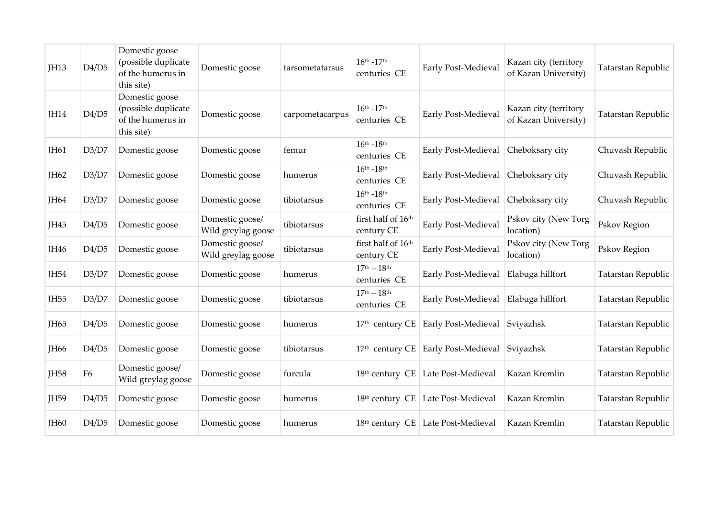| JH13        | D4/D5          | Domestic goose<br>(possible duplicate<br>of the humerus in<br>this site) | Domestic goose                        | tarsometatarsus | $16^{th} - 17^{th}$<br>centuries CE               | Early Post-Medieval                  | Kazan city (territory<br>of Kazan University) | <b>Tatarstan Republic</b> |  |
|-------------|----------------|--------------------------------------------------------------------------|---------------------------------------|-----------------|---------------------------------------------------|--------------------------------------|-----------------------------------------------|---------------------------|--|
| <b>IH14</b> | D4/D5          | Domestic goose<br>(possible duplicate<br>of the humerus in<br>this site) | Domestic goose                        | carpometacarpus | $16^{th} - 17^{th}$<br>centuries CE               | Early Post-Medieval                  | Kazan city (territory<br>of Kazan University) | Tatarstan Republic        |  |
| <b>IH61</b> | D3/D7          | Domestic goose                                                           | Domestic goose                        | femur           | $16^{th} - 18^{th}$<br>centuries CE               | Early Post-Medieval                  | Cheboksary city                               | Chuvash Republic          |  |
| JH62        | D3/D7          | Domestic goose                                                           | Domestic goose                        | humerus         | $16^{th} - 18^{th}$<br>centuries CE               | Early Post-Medieval                  | Cheboksary city                               | Chuvash Republic          |  |
| <b>IH64</b> | D3/D7          | Domestic goose                                                           | Domestic goose                        | tibiotarsus     | $16^{th} - 18^{th}$<br>centuries CE               | Early Post-Medieval                  | Cheboksary city                               | Chuvash Republic          |  |
| JH45        | D4/D5          | Domestic goose                                                           | Domestic goose/<br>Wild greylag goose | tibiotarsus     | first half of 16th<br>century CE                  | Early Post-Medieval                  | Pskov city (New Torg<br>location)             | Pskov Region              |  |
| JH46        | D4/D5          | Domestic goose                                                           | Domestic goose/<br>Wild greylag goose | tibiotarsus     | first half of 16th<br>century CE                  | Early Post-Medieval                  | Pskov city (New Torg<br>location)             | Pskov Region              |  |
| <b>IH54</b> | D3/D7          | Domestic goose                                                           | Domestic goose                        | humerus         | $17^{\text{th}} - 18^{\text{th}}$<br>centuries CE | <b>Early Post-Medieval</b>           | Elabuga hillfort                              | Tatarstan Republic        |  |
| <b>IH55</b> | D3/D7          | Domestic goose                                                           | Domestic goose                        | tibiotarsus     | $17th - 18th$<br>centuries CE                     | Early Post-Medieval                  | Elabuga hillfort                              | Tatarstan Republic        |  |
| <b>IH65</b> | D4/D5          | Domestic goose                                                           | Domestic goose                        | humerus         | 17 <sup>th</sup> century CE                       | <b>Early Post-Medieval</b>           | Sviyazhsk                                     | Tatarstan Republic        |  |
| <b>IH66</b> | D4/D5          | Domestic goose                                                           | Domestic goose                        | tibiotarsus     | $17th$ century CE                                 | Early Post-Medieval                  | Sviyazhsk                                     | Tatarstan Republic        |  |
| <b>IH58</b> | F <sub>6</sub> | Domestic goose/<br>Wild greylag goose                                    | Domestic goose                        | furcula         |                                                   | 18th century CE   Late Post-Medieval | Kazan Kremlin                                 | Tatarstan Republic        |  |
| <b>IH59</b> | D4/D5          | Domestic goose                                                           | Domestic goose                        | humerus         |                                                   | 18th century CE Late Post-Medieval   | Kazan Kremlin                                 | Tatarstan Republic        |  |
| <b>IH60</b> | D4/D5          | Domestic goose                                                           | Domestic goose                        | humerus         |                                                   | 18th century CE   Late Post-Medieval | Kazan Kremlin                                 | Tatarstan Republic        |  |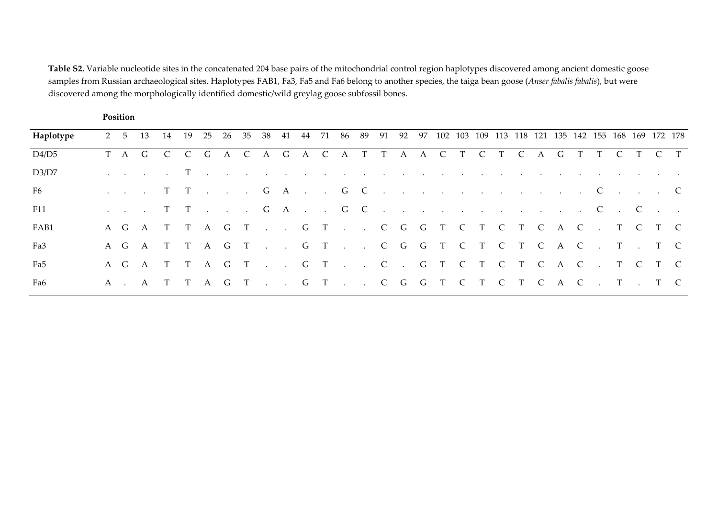**Table S2.** Variable nucleotide sites in the concatenated 204 base pairs of the mitochondrial control region haplotypes discovered among ancient domestic goose samples from Russian archaeological sites. Haplotypes FAB1, Fa3, Fa5 and Fa6 belong to another species, the taiga bean goose (*Anser fabalis fabalis*), but were discovered among the morphologically identified domestic/wild greylag goose subfossil bones.

**Position** 

| Haplotype |  | 2 5 13 14 19 25 26 35 38 41 44 71 86 89 91 92 97 102 103 109 113 118 121 135 142 155 168 169 172 178                                                                                                                          |  |  |  |  |  |  |  |  |  |  |  |  |  |  |
|-----------|--|-------------------------------------------------------------------------------------------------------------------------------------------------------------------------------------------------------------------------------|--|--|--|--|--|--|--|--|--|--|--|--|--|--|
| D4/D5     |  | TAGCCGACAGACATTAACTCTCAGTTCTCT                                                                                                                                                                                                |  |  |  |  |  |  |  |  |  |  |  |  |  |  |
| D3/D7     |  | where the contract of the contract of the contract of the contract of the contract of the contract of the contract of the contract of the contract of the contract of the contract of the contract of the contract of the con |  |  |  |  |  |  |  |  |  |  |  |  |  |  |
| F6        |  | . T T G A G C C C                                                                                                                                                                                                             |  |  |  |  |  |  |  |  |  |  |  |  |  |  |
| F11       |  |                                                                                                                                                                                                                               |  |  |  |  |  |  |  |  |  |  |  |  |  |  |
| FAB1      |  | AGATTAGT. . GT. . CGGTCTCTCAC. TCTC                                                                                                                                                                                           |  |  |  |  |  |  |  |  |  |  |  |  |  |  |
| Fa3       |  | AGATTAGT. . GT. . CGGTCTCTCAC. T. TC                                                                                                                                                                                          |  |  |  |  |  |  |  |  |  |  |  |  |  |  |
| Fa5       |  | AGATTAGT. .GT. .C. GTCTCTCAC. TCTC                                                                                                                                                                                            |  |  |  |  |  |  |  |  |  |  |  |  |  |  |
| Fa6       |  | A . A T T A G T G T C G G T C T C T C A C . T . T C                                                                                                                                                                           |  |  |  |  |  |  |  |  |  |  |  |  |  |  |
|           |  |                                                                                                                                                                                                                               |  |  |  |  |  |  |  |  |  |  |  |  |  |  |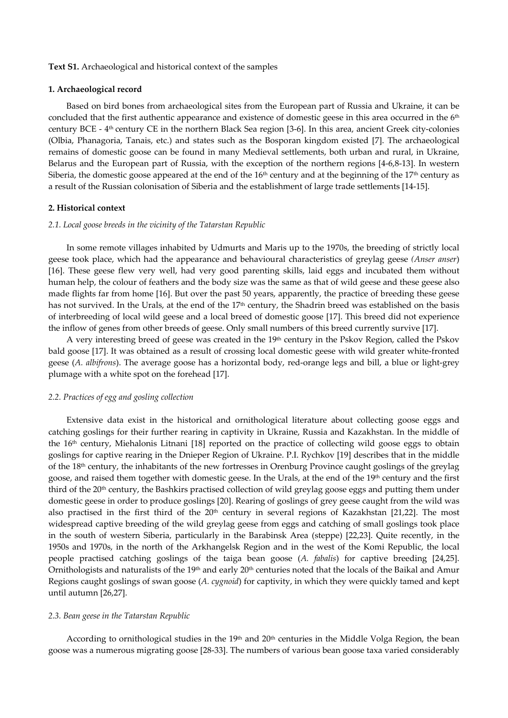## **Text S1.** Archaeological and historical context of the samples

## **1. Archaeological record**

Based on bird bones from archaeological sites from the European part of Russia and Ukraine, it can be concluded that the first authentic appearance and existence of domestic geese in this area occurred in the 6<sup>th</sup> century BCE - 4th century CE in the northern Black Sea region [3-6]. In this area, ancient Greek city-colonies (Olbia, Phanagoria, Tanais, etc.) and states such as the Bosporan kingdom existed [7]. The archaeological remains of domestic goose can be found in many Medieval settlements, both urban and rural, in Ukraine, Belarus and the European part of Russia, with the exception of the northern regions [4-6,8-13]. In western Siberia, the domestic goose appeared at the end of the  $16<sup>th</sup>$  century and at the beginning of the  $17<sup>th</sup>$  century as a result of the Russian colonisation of Siberia and the establishment of large trade settlements [14-15].

## **2. Historical context**

#### *2.1. Local goose breeds in the vicinity of the Tatarstan Republic*

In some remote villages inhabited by Udmurts and Maris up to the 1970s, the breeding of strictly local geese took place, which had the appearance and behavioural characteristics of greylag geese *(Anser anser*) [16]. These geese flew very well, had very good parenting skills, laid eggs and incubated them without human help, the colour of feathers and the body size was the same as that of wild geese and these geese also made flights far from home [16]. But over the past 50 years, apparently, the practice of breeding these geese has not survived. In the Urals, at the end of the 17<sup>th</sup> century, the Shadrin breed was established on the basis of interbreeding of local wild geese and a local breed of domestic goose [17]. This breed did not experience the inflow of genes from other breeds of geese. Only small numbers of this breed currently survive [17].

A very interesting breed of geese was created in the 19th century in the Pskov Region, called the Pskov bald goose [17]. It was obtained as a result of crossing local domestic geese with wild greater white-fronted geese (*A. albifrons*). The average goose has a horizontal body, red-orange legs and bill, a blue or light-grey plumage with a white spot on the forehead [17].

# *2.2. Practices of egg and gosling collection*

Extensive data exist in the historical and ornithological literature about collecting goose eggs and catching goslings for their further rearing in captivity in Ukraine, Russia and Kazakhstan. In the middle of the 16th century, Miehalonis Litnani [18] reported on the practice of collecting wild goose eggs to obtain goslings for captive rearing in the Dnieper Region of Ukraine. P.I. Rychkov [19] describes that in the middle of the 18th century, the inhabitants of the new fortresses in Orenburg Province caught goslings of the greylag goose, and raised them together with domestic geese. In the Urals, at the end of the 19<sup>th</sup> century and the first third of the 20<sup>th</sup> century, the Bashkirs practised collection of wild greylag goose eggs and putting them under domestic geese in order to produce goslings [20]. Rearing of goslings of grey geese caught from the wild was also practised in the first third of the  $20<sup>th</sup>$  century in several regions of Kazakhstan [21,22]. The most widespread captive breeding of the wild greylag geese from eggs and catching of small goslings took place in the south of western Siberia, particularly in the Barabinsk Area (steppe) [22,23]. Quite recently, in the 1950s and 1970s, in the north of the Arkhangelsk Region and in the west of the Komi Republic, the local people practised catching goslings of the taiga bean goose (*A. fabalis*) for captive breeding [24,25]. Ornithologists and naturalists of the 19<sup>th</sup> and early 20<sup>th</sup> centuries noted that the locals of the Baikal and Amur Regions caught goslings of swan goose (*A. cygnoid*) for captivity, in which they were quickly tamed and kept until autumn [26,27].

## *2.3. Bean geese in the Tatarstan Republic*

According to ornithological studies in the 19<sup>th</sup> and 20<sup>th</sup> centuries in the Middle Volga Region, the bean goose was a numerous migrating goose [28-33]. The numbers of various bean goose taxa varied considerably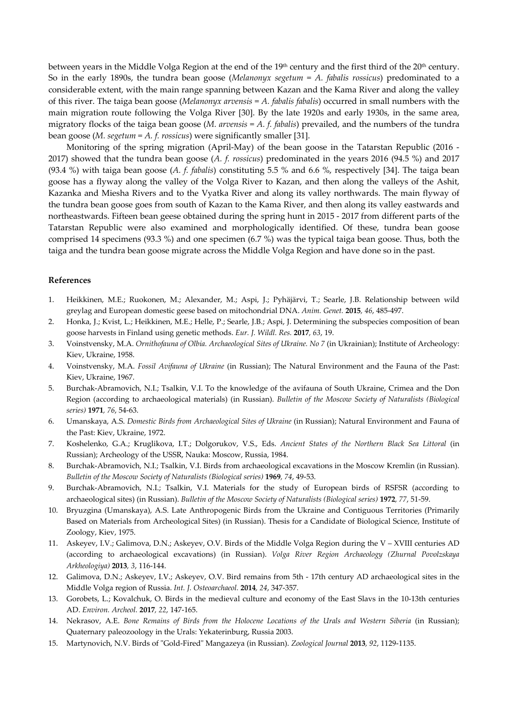between years in the Middle Volga Region at the end of the 19<sup>th</sup> century and the first third of the 20<sup>th</sup> century. So in the early 1890s, the tundra bean goose (*Melanonyx segetum* = *A. fabalis rossicus*) predominated to a considerable extent, with the main range spanning between Kazan and the Kama River and along the valley of this river. The taiga bean goose (*Melanonyx arvensis* = *A. fabalis fabalis*) occurred in small numbers with the main migration route following the Volga River [30]. By the late 1920s and early 1930s, in the same area, migratory flocks of the taiga bean goose (*M. arvensis* = *A. f. fabalis*) prevailed, and the numbers of the tundra bean goose (*M. segetum* = *A. f. rossicus*) were significantly smaller [31].

Monitoring of the spring migration (April-May) of the bean goose in the Tatarstan Republic (2016 - 2017) showed that the tundra bean goose (*A. f. rossicus*) predominated in the years 2016 (94.5 %) and 2017 (93.4 %) with taiga bean goose (*A. f. fabalis*) constituting 5.5 % and 6.6 %, respectively [34]. The taiga bean goose has a flyway along the valley of the Volga River to Kazan, and then along the valleys of the Ashit, Kazanka and Miesha Rivers and to the Vyatka River and along its valley northwards. The main flyway of the tundra bean goose goes from south of Kazan to the Kama River, and then along its valley eastwards and northeastwards. Fifteen bean geese obtained during the spring hunt in 2015 - 2017 from different parts of the Tatarstan Republic were also examined and morphologically identified. Of these, tundra bean goose comprised 14 specimens (93.3 %) and one specimen (6.7 %) was the typical taiga bean goose. Thus, both the taiga and the tundra bean goose migrate across the Middle Volga Region and have done so in the past.

# **References**

- 1. Heikkinen, M.E.; Ruokonen, M.; Alexander, M.; Aspi, J.; Pyhäjärvi, T.; Searle, J.B. Relationship between wild greylag and European domestic geese based on mitochondrial DNA. *Anim. Genet.* **2015***, 46*, 485-497.
- 2. Honka, J.; Kvist, L.; Heikkinen, M.E.; Helle, P.; Searle, J.B.; Aspi, J. Determining the subspecies composition of bean goose harvests in Finland using genetic methods. *Eur. J. Wildl. Res.* **2017***, 63*, 19.
- 3. Voinstvensky, M.A. *Ornithofauna of Olbia. Archaeological Sites of Ukraine. No 7* (in Ukrainian); Institute of Archeology: Kiev, Ukraine, 1958.
- 4. Voinstvensky, M.A. *Fossil Avifauna of Ukraine* (in Russian); The Natural Environment and the Fauna of the Past: Kiev, Ukraine, 1967.
- 5. Burchak-Abramovich, N.I.; Tsalkin, V.I. To the knowledge of the avifauna of South Ukraine, Crimea and the Don Region (according to archaeological materials) (in Russian). *Bulletin of the Moscow Society of Naturalists (Biological series)* **1971***, 76*, 54-63.
- 6. Umanskaya, A.S. *Domestic Birds from Archaeological Sites of Ukraine* (in Russian); Natural Environment and Fauna of the Past: Kiev, Ukraine, 1972.
- 7. Koshelenko, G.A.; Kruglikova, I.T.; Dolgorukov, V.S., Eds. *Ancient States of the Northern Black Sea Littoral* (in Russian); Archeology of the USSR, Nauka: Moscow, Russia, 1984.
- 8. Burchak-Abramovich, N.I.; Tsalkin, V.I. Birds from archaeological excavations in the Moscow Kremlin (in Russian). *Bulletin of the Moscow Society of Naturalists (Biological series)* **1969***, 74*, 49-53.
- 9. Burchak-Abramovich, N.I.; Tsalkin, V.I. Materials for the study of European birds of RSFSR (according to archaeological sites) (in Russian). *Bulletin of the Moscow Society of Naturalists (Biological series)* **1972***, 77*, 51-59.
- 10. Bryuzgina (Umanskaya), A.S. Late Anthropogenic Birds from the Ukraine and Contiguous Territories (Primarily Based on Materials from Archeological Sites) (in Russian). Thesis for a Candidate of Biological Science, Institute of Zoology, Kiev, 1975.
- 11. Askeyev, I.V.; Galimova, D.N.; Askeyev, O.V. Birds of the Middle Volga Region during the V XVIII centuries AD (according to archaeological excavations) (in Russian). *Volga River Region Archaeology (Zhurnal Povolzskaya Arkheologiya)* **2013***, 3*, 116-144.
- 12. Galimova, D.N.; Askeyev, I.V.; Askeyev, O.V. Bird remains from 5th 17th century AD archaeological sites in the Middle Volga region of Russia. *Int. J. Osteoarchaeol.* **2014***, 24*, 347-357.
- 13. Gorobets, L.; Kovalchuk, O. Birds in the medieval culture and economy of the East Slavs in the 10-13th centuries AD. *Environ. Archeol.* **2017***, 22*, 147-165.
- 14. Nekrasov, A.E. *Bone Remains of Birds from the Holocene Locations of the Urals and Western Siberia* (in Russian); Quaternary paleozoology in the Urals: Yekaterinburg, Russia 2003.
- 15. Martynovich, N.V. Birds of "Gold-Fired" Mangazeya (in Russian). *Zoological Journal* **2013***, 92*, 1129-1135.